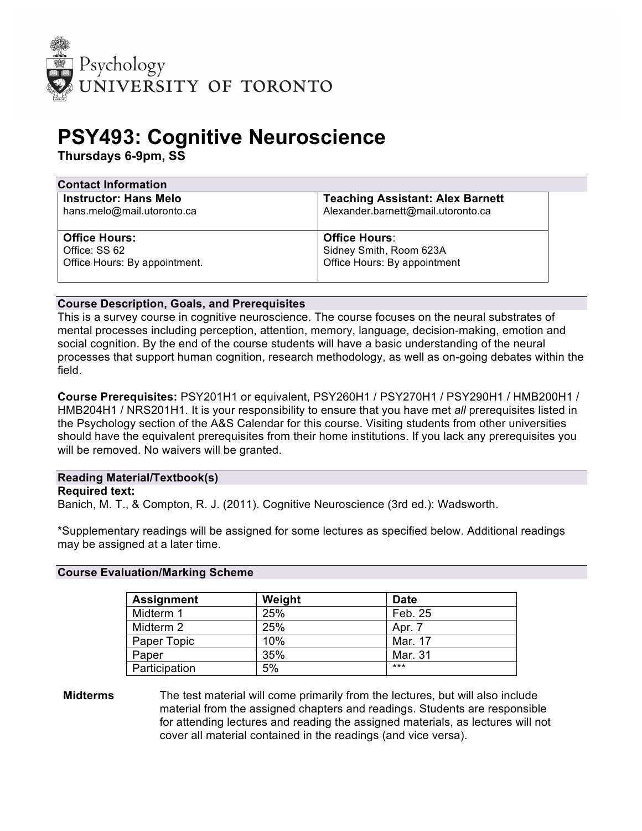

# **PSY493: Cognitive Neuroscience**

**Thursdays 6-9pm, SS**

| <b>Contact Information</b>                                 |                                                                               |  |  |
|------------------------------------------------------------|-------------------------------------------------------------------------------|--|--|
| <b>Instructor: Hans Melo</b><br>hans.melo@mail.utoronto.ca | <b>Teaching Assistant: Alex Barnett</b><br>Alexander.barnett@mail.utoronto.ca |  |  |
| <b>Office Hours:</b>                                       | <b>Office Hours:</b>                                                          |  |  |
| Office: SS 62                                              | Sidney Smith, Room 623A                                                       |  |  |
| Office Hours: By appointment.                              | Office Hours: By appointment                                                  |  |  |
|                                                            |                                                                               |  |  |

## **Course Description, Goals, and Prerequisites**

This is a survey course in cognitive neuroscience. The course focuses on the neural substrates of mental processes including perception, attention, memory, language, decision-making, emotion and social cognition. By the end of the course students will have a basic understanding of the neural processes that support human cognition, research methodology, as well as on-going debates within the field.

**Course Prerequisites:** PSY201H1 or equivalent, PSY260H1 / PSY270H1 / PSY290H1 / HMB200H1 / HMB204H1 / NRS201H1. It is your responsibility to ensure that you have met *all* prerequisites listed in the Psychology section of the A&S Calendar for this course. Visiting students from other universities should have the equivalent prerequisites from their home institutions. If you lack any prerequisites you will be removed. No waivers will be granted.

# **Reading Material/Textbook(s)**

**Required text:** 

Banich, M. T., & Compton, R. J. (2011). Cognitive Neuroscience (3rd ed.): Wadsworth.

\*Supplementary readings will be assigned for some lectures as specified below. Additional readings may be assigned at a later time.

#### **Course Evaluation/Marking Scheme**

| <b>Assignment</b> | Weight | <b>Date</b> |
|-------------------|--------|-------------|
| Midterm 1         | 25%    | Feb. 25     |
| Midterm 2         | 25%    | Apr. 7      |
| Paper Topic       | 10%    | Mar. 17     |
| Paper             | 35%    | Mar. 31     |
| Participation     | 5%     | $***$       |

## **Midterms** The test material will come primarily from the lectures, but will also include material from the assigned chapters and readings. Students are responsible for attending lectures and reading the assigned materials, as lectures will not cover all material contained in the readings (and vice versa).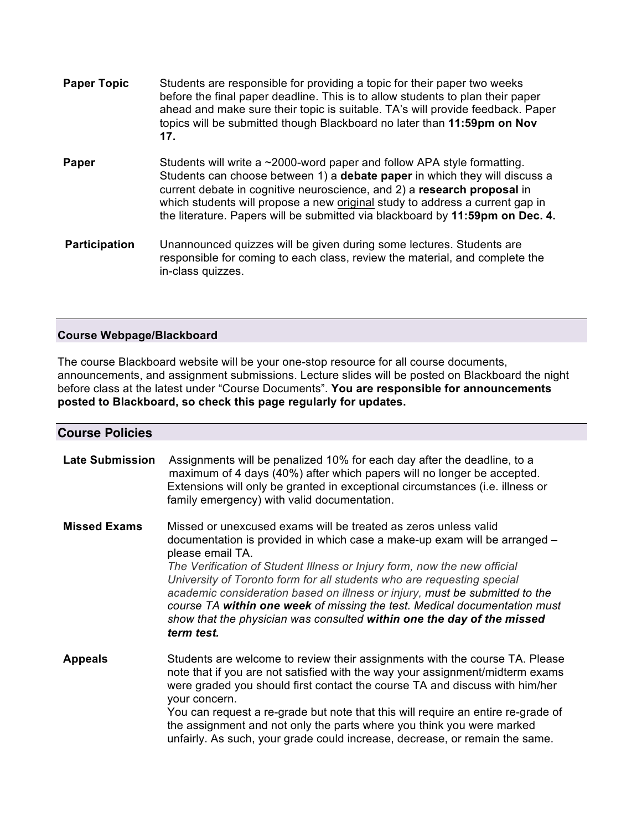| <b>Paper Topic</b>   | Students are responsible for providing a topic for their paper two weeks<br>before the final paper deadline. This is to allow students to plan their paper<br>ahead and make sure their topic is suitable. TA's will provide feedback. Paper<br>topics will be submitted though Blackboard no later than 11:59pm on Nov<br>17.                                                                                 |
|----------------------|----------------------------------------------------------------------------------------------------------------------------------------------------------------------------------------------------------------------------------------------------------------------------------------------------------------------------------------------------------------------------------------------------------------|
| Paper                | Students will write a $\sim$ 2000-word paper and follow APA style formatting.<br>Students can choose between 1) a <b>debate paper</b> in which they will discuss a<br>current debate in cognitive neuroscience, and 2) a research proposal in<br>which students will propose a new original study to address a current gap in<br>the literature. Papers will be submitted via blackboard by 11:59pm on Dec. 4. |
| <b>Participation</b> | Unannounced quizzes will be given during some lectures. Students are<br>responsible for coming to each class, review the material, and complete the<br>in-class quizzes.                                                                                                                                                                                                                                       |

## **Course Webpage/Blackboard**

The course Blackboard website will be your one-stop resource for all course documents, announcements, and assignment submissions. Lecture slides will be posted on Blackboard the night before class at the latest under "Course Documents". **You are responsible for announcements posted to Blackboard, so check this page regularly for updates.**

| <b>Course Policies</b> |                                                                                                                                                                                                                                                                                                                                                                                                                                                                                                                                                                            |
|------------------------|----------------------------------------------------------------------------------------------------------------------------------------------------------------------------------------------------------------------------------------------------------------------------------------------------------------------------------------------------------------------------------------------------------------------------------------------------------------------------------------------------------------------------------------------------------------------------|
| <b>Late Submission</b> | Assignments will be penalized 10% for each day after the deadline, to a<br>maximum of 4 days (40%) after which papers will no longer be accepted.<br>Extensions will only be granted in exceptional circumstances (i.e. illness or<br>family emergency) with valid documentation.                                                                                                                                                                                                                                                                                          |
| <b>Missed Exams</b>    | Missed or unexcused exams will be treated as zeros unless valid<br>documentation is provided in which case a make-up exam will be arranged –<br>please email TA.<br>The Verification of Student Illness or Injury form, now the new official<br>University of Toronto form for all students who are requesting special<br>academic consideration based on illness or injury, must be submitted to the<br>course TA within one week of missing the test. Medical documentation must<br>show that the physician was consulted within one the day of the missed<br>term test. |
| <b>Appeals</b>         | Students are welcome to review their assignments with the course TA. Please<br>note that if you are not satisfied with the way your assignment/midterm exams<br>were graded you should first contact the course TA and discuss with him/her<br>your concern.<br>You can request a re-grade but note that this will require an entire re-grade of<br>the assignment and not only the parts where you think you were marked<br>unfairly. As such, your grade could increase, decrease, or remain the same.                                                                   |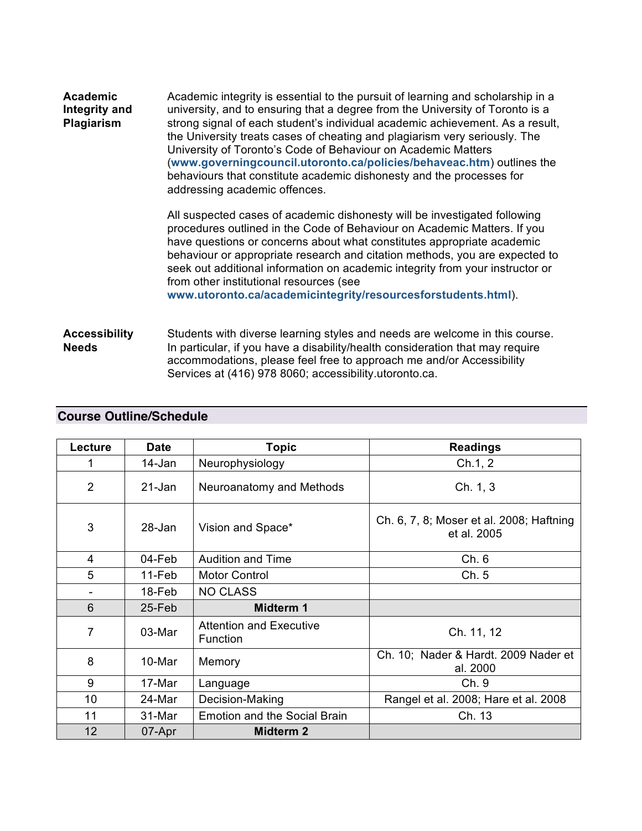| <b>Academic</b><br>Integrity and<br>Plagiarism | Academic integrity is essential to the pursuit of learning and scholarship in a<br>university, and to ensuring that a degree from the University of Toronto is a<br>strong signal of each student's individual academic achievement. As a result,<br>the University treats cases of cheating and plagiarism very seriously. The<br>University of Toronto's Code of Behaviour on Academic Matters<br>(www.governingcouncil.utoronto.ca/policies/behaveac.htm) outlines the<br>behaviours that constitute academic dishonesty and the processes for<br>addressing academic offences. |  |
|------------------------------------------------|------------------------------------------------------------------------------------------------------------------------------------------------------------------------------------------------------------------------------------------------------------------------------------------------------------------------------------------------------------------------------------------------------------------------------------------------------------------------------------------------------------------------------------------------------------------------------------|--|
|                                                | All suspected cases of academic dishonesty will be investigated following<br>procedures outlined in the Code of Behaviour on Academic Matters. If you<br>have questions or concerns about what constitutes appropriate academic<br>behaviour or appropriate research and citation methods, you are expected to<br>seek out additional information on academic integrity from your instructor or<br>from other institutional resources (see<br>www.utoronto.ca/academicintegrity/resourcesforstudents.html).                                                                        |  |
| <b>Accessibility</b><br><b>Needs</b>           | Students with diverse learning styles and needs are welcome in this course.<br>In particular, if you have a disability/health consideration that may require<br>accommodations, please feel free to approach me and/or Accessibility                                                                                                                                                                                                                                                                                                                                               |  |

Services at (416) 978 8060; accessibility.utoronto.ca.

| Lecture        | <b>Date</b> | <b>Topic</b>                               | <b>Readings</b>                                         |
|----------------|-------------|--------------------------------------------|---------------------------------------------------------|
|                | 14-Jan      | Neurophysiology                            | Ch.1, 2                                                 |
| 2              | 21-Jan      | Neuroanatomy and Methods                   | Ch. 1, 3                                                |
| 3              | $28 - Jan$  | Vision and Space*                          | Ch. 6, 7, 8; Moser et al. 2008; Haftning<br>et al. 2005 |
| 4              | 04-Feb      | <b>Audition and Time</b>                   | Ch. 6                                                   |
| 5              | 11-Feb      | <b>Motor Control</b>                       | Ch.5                                                    |
| -              | 18-Feb      | <b>NO CLASS</b>                            |                                                         |
| 6              | 25-Feb      | Midterm 1                                  |                                                         |
| $\overline{7}$ | 03-Mar      | <b>Attention and Executive</b><br>Function | Ch. 11, 12                                              |
| 8              | 10-Mar      | Memory                                     | Ch. 10; Nader & Hardt. 2009 Nader et<br>al. 2000        |
| 9              | 17-Mar      | Language                                   | Ch. 9                                                   |
| 10             | 24-Mar      | Decision-Making                            | Rangel et al. 2008; Hare et al. 2008                    |
| 11             | 31-Mar      | Emotion and the Social Brain               | Ch. 13                                                  |
| 12             | 07-Apr      | <b>Midterm 2</b>                           |                                                         |

# **Course Outline/Schedule**